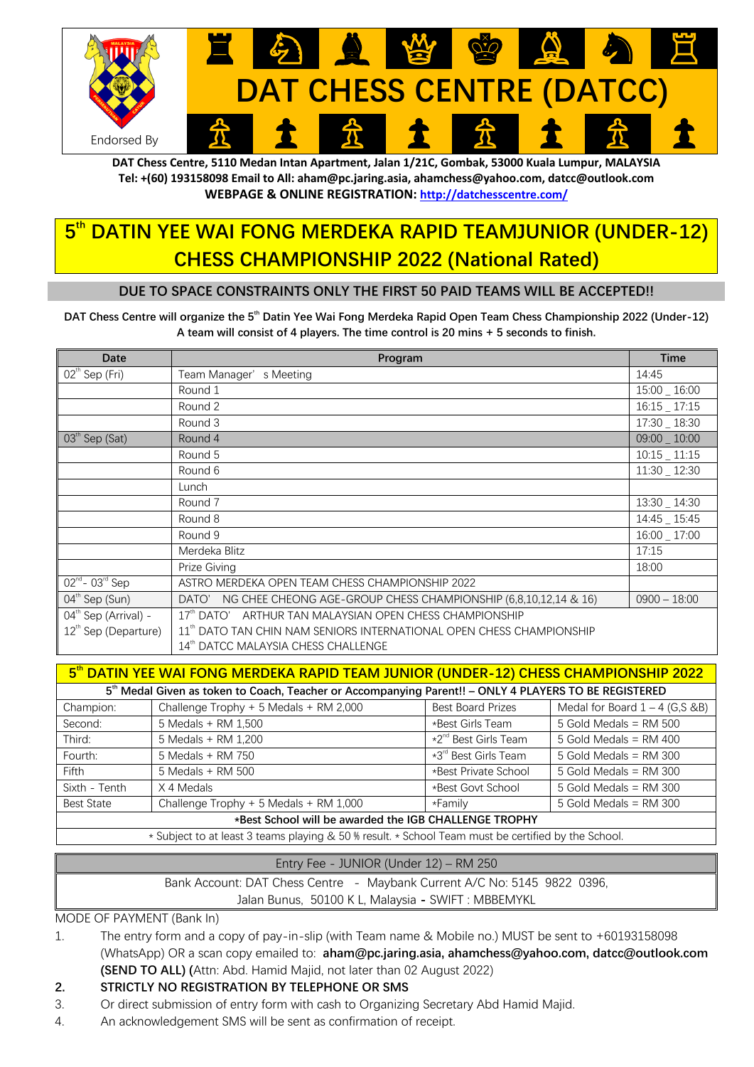

**DAT Chess Centre, 5110 Medan Intan Apartment, Jalan 1/21C, Gombak, 53000 Kuala Lumpur, MALAYSIA Tel: +(60) 193158098 Email to All: aham@pc.jaring.asia, ahamchess@yahoo.com, datcc@outlook.com WEBPAGE & ONLINE REGISTRATION: http://datchesscentre.com/**

## **5th DATIN YEE WAI FONG MERDEKA RAPID TEAMJUNIOR (UNDER-12) CHESS CHAMPIONSHIP 2022 (National Rated)**

### **DUE TO SPACE CONSTRAINTS ONLY THE FIRST 50 PAID TEAMS WILL BE ACCEPTED!!**

**DAT Chess Centre will organize the 5<sup>th</sup> Datin Yee Wai Fong Merdeka Rapid Open Team Chess Championship 2022 (Under-12) A team will consist of 4 players. The time control is 20 mins + 5 seconds to finish.**

| <b>Date</b>                              | Program                                                                          | <b>Time</b>     |
|------------------------------------------|----------------------------------------------------------------------------------|-----------------|
| $02^{\text{th}}$ Sep (Fri)               | Team Manager's Meeting                                                           | 14:45           |
|                                          | Round 1                                                                          | 15:00 _ 16:00   |
|                                          | Round 2                                                                          | $16:15 - 17:15$ |
|                                          | Round 3                                                                          | 17:30 _ 18:30   |
| 03 <sup>th</sup> Sep (Sat)               | Round 4                                                                          | $09:00 - 10:00$ |
|                                          | Round 5                                                                          | $10:15 - 11:15$ |
|                                          | Round 6                                                                          | 11:30 _ 12:30   |
|                                          | Lunch                                                                            |                 |
|                                          | Round 7                                                                          | 13:30 _ 14:30   |
|                                          | Round 8                                                                          | 14:45 _ 15:45   |
|                                          | Round 9                                                                          | 16:00 17:00     |
|                                          | Merdeka Blitz                                                                    | 17:15           |
|                                          | Prize Giving                                                                     | 18:00           |
| $02^{\text{nd}}$ - 03 $^{\text{rd}}$ Sep | ASTRO MERDEKA OPEN TEAM CHESS CHAMPIONSHIP 2022                                  |                 |
| $04^{\text{th}}$ Sep (Sun)               | NG CHEE CHEONG AGE-GROUP CHESS CHAMPIONSHIP (6,8,10,12,14 & 16)<br>DATO'         | $0900 - 18:00$  |
| 04 <sup>th</sup> Sep (Arrival) -         | $17th$ DATO'<br>ARTHUR TAN MALAYSIAN OPEN CHESS CHAMPIONSHIP                     |                 |
| 12 <sup>th</sup> Sep (Departure)         | 11 <sup>th</sup> DATO TAN CHIN NAM SENIORS INTERNATIONAL OPEN CHESS CHAMPIONSHIP |                 |
|                                          | 14th DATCC MALAYSIA CHESS CHALLENGE                                              |                 |

| 5th DATIN YEE WAI FONG MERDEKA RAPID TEAM JUNIOR (UNDER-12) CHESS CHAMPIONSHIP 2022                               |                                        |                                  |                                  |  |  |
|-------------------------------------------------------------------------------------------------------------------|----------------------------------------|----------------------------------|----------------------------------|--|--|
| 5 <sup>th</sup> Medal Given as token to Coach, Teacher or Accompanying Parent!! - ONLY 4 PLAYERS TO BE REGISTERED |                                        |                                  |                                  |  |  |
| Champion:                                                                                                         | Challenge Trophy + 5 Medals + RM 2,000 | <b>Best Board Prizes</b>         | Medal for Board $1 - 4$ (G,S &B) |  |  |
| Second:                                                                                                           | 5 Medals + RM 1,500                    | *Best Girls Team                 | $5$ Gold Medals = RM $500$       |  |  |
| Third:                                                                                                            | 5 Medals + RM 1,200                    | *2 <sup>nd</sup> Best Girls Team | 5 Gold Medals = $RM$ 400         |  |  |
| Fourth:                                                                                                           | 5 Medals + RM 750                      | $*3^{\text{rd}}$ Best Girls Team | 5 Gold Medals = $RM$ 300         |  |  |
| Fifth                                                                                                             | 5 Medals + RM 500                      | *Best Private School             | 5 Gold Medals = $RM$ 300         |  |  |
| Sixth - Tenth                                                                                                     | X 4 Medals                             | *Best Govt School                | 5 Gold Medals = $RM$ 300         |  |  |
| <b>Best State</b>                                                                                                 | Challenge Trophy + 5 Medals + RM 1,000 | *Family                          | 5 Gold Medals = $RM$ 300         |  |  |
| *Best School will be awarded the IGB CHALLENGE TROPHY                                                             |                                        |                                  |                                  |  |  |
| * Subject to at least 3 teams playing & 50 % result. * School Team must be certified by the School.               |                                        |                                  |                                  |  |  |

| Entry Fee - JUNIOR (Under 12) – RM 250                                   |  |  |
|--------------------------------------------------------------------------|--|--|
| Bank Account: DAT Chess Centre - Maybank Current A/C No: 5145 9822 0396, |  |  |
| Jalan Bunus, 50100 K L, Malaysia - SWIFT : MBBEMYKL                      |  |  |
|                                                                          |  |  |

MODE OF PAYMENT (Bank In)

1. The entry form and a copy of pay-in-slip (with Team name & Mobile no.) MUST be sent to +60193158098 (WhatsApp) OR a scan copy emailed to: **aham@pc.jaring.asia, ahamchess@yahoo.com, datcc@outlook.com (SEND TO ALL) (**Attn: Abd. Hamid Majid, not later than 02 August 2022)

### **2. STRICTLY NO REGISTRATION BY TELEPHONE OR SMS**

- 3. Or direct submission of entry form with cash to Organizing Secretary Abd Hamid Majid.
- 4. An acknowledgement SMS will be sent as confirmation of receipt.